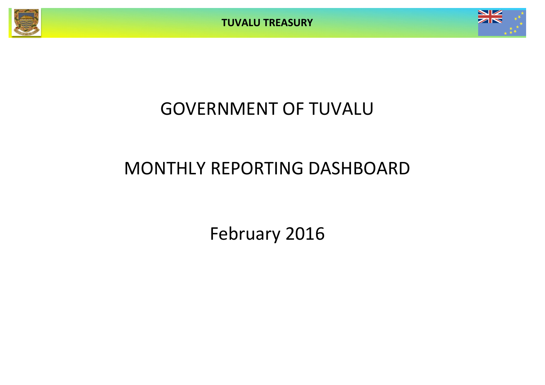**TUVALU TREASURY**



## GOVERNMENT OF TUVALU

# MONTHLY REPORTING DASHBOARD

February 2016

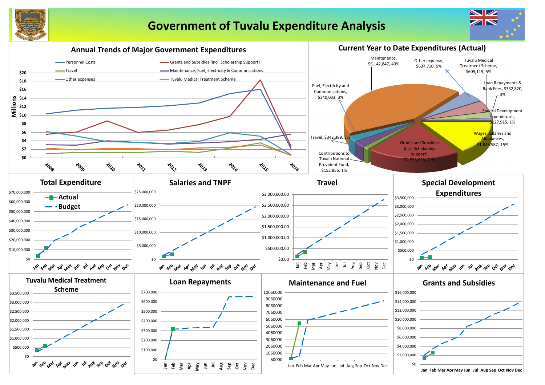

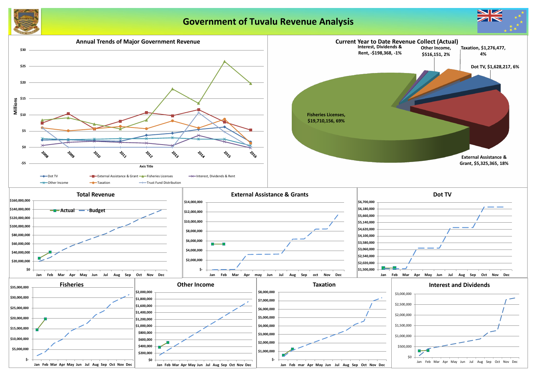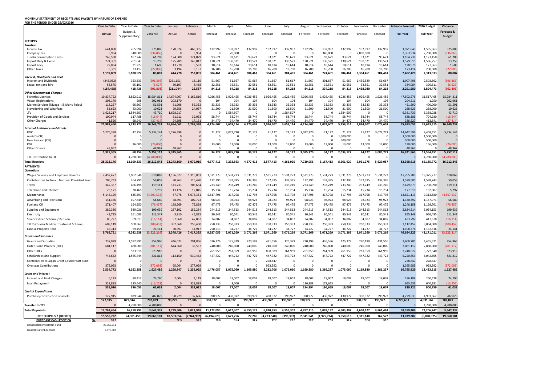### **MONTHLY STATEMENT OF RECEIPTS AND PAYENTS BY NATURE OF EXPENSE FOR THE PERIOD ENDED 29/02/2016**

|                                                        | <b>Year to Date</b>  | Year to Date       | Year to Date             | January                            | February         | March               | April             | May                 | June               | July             | August           | September                                               | October             | November             | December         | <b>Actual + Forecast</b> | 2016 Budget            | Variance             |
|--------------------------------------------------------|----------------------|--------------------|--------------------------|------------------------------------|------------------|---------------------|-------------------|---------------------|--------------------|------------------|------------------|---------------------------------------------------------|---------------------|----------------------|------------------|--------------------------|------------------------|----------------------|
|                                                        | <b>Actual</b>        | Budget &           | Variance                 | Actual                             | Actual           | Forecast            | Forecast          | Forecast            | Forecast           | Forecast         | Forecast         | Forecast                                                | Forecast            | Forecast             | Forecast         | <b>Full Year</b>         | <b>Full Year</b>       | Forecast &           |
|                                                        |                      | Supplementary      |                          |                                    |                  |                     |                   |                     |                    |                  |                  |                                                         |                     |                      |                  |                          |                        | <b>Budget</b>        |
| <b>RECEIPTS</b>                                        |                      |                    |                          |                                    |                  |                     |                   |                     |                    |                  |                  |                                                         |                     |                      |                  |                          |                        |                      |
| <b>Taxation</b>                                        |                      |                    |                          |                                    |                  |                     |                   |                     |                    |                  |                  |                                                         |                     |                      |                  |                          |                        |                      |
| Income Tax                                             | 641,880<br>3,934     | 265,994<br>340,000 | 375,886<br>(336,066      | 178,524<br>$\Omega$                | 463,355<br>3,934 | 132,997<br>$\Omega$ | 132,997<br>20,000 | 132,997<br>$\Omega$ | 132,997<br>- 0     | 132,997<br>- 0   | 132,997<br>- റ   | 132,997<br>340,000                                      | 132,997             | 132,997<br>2,000,000 | 132,997          | 1,971,849<br>2,363,934   | 1,595,963<br>2,700,000 | 375,886<br>(336,066) |
| Company Tax<br><b>Tuvalu Consumption Taxes</b>         | 248,530              | 187,242            | 61,288                   | 124,500                            | 124,029          | 93,621              | 93,621            | 93,621              | 93,621             | 93,621           | 93,621           | 93,621                                                  | 93,621              | 93,621               | 93,621           | 1,184,738                | 1,123,450              | 61,288               |
| Import Duty & Excise                                   | 274,301              | 261,043            | 13,258                   | 125,289                            | 149,012          | 130,521             | 130,521           | 130,521             | 130,521            | 130,521          | 130,521          | 130,521                                                 | 130,521             | 130,521              | 130,521          | 1,579,515                | 1,566,257              | 13,258               |
| Import Levy                                            | 22,834               | 21,227             | 1,606                    | 13,270                             | 9,563            | 10,614              | 10,614            | 10,614              | 10,614             | 10,614           | 10,614           | 10,614                                                  | 10,614              | 10,614               | 10,614           | 128,970                  | 127,363                | 1,606                |
| <b>Other Taxes</b>                                     | 6,331                | 33,417             | (27,086)                 | 3,194                              | 3,137            | 16,708              | 16,708            | 16,708              | 16,708             | 16,708           | 16,708           | 16,708                                                  | 16,708              | 16,708               | 16,708           | 173,414                  | 200,500                | (27,086)             |
|                                                        | 1,197,809            | 1,108,922          | 88,887                   | 444,778                            | 753,031          | 384,461             | 404,461           | 384,461             | 384,461            | 384,461          | 384,461          | 724,461                                                 | 384,461             | 2,384,461            | 384,461          | 7,402,420                | 7,313,533              | 88,887               |
| Interest, Dividends and Rent                           |                      |                    | (596,366                 |                                    |                  | 51,667              |                   |                     | 51,667             | 51,667           | 51,667           |                                                         | 51,667              | 1,435,529            | 51,667           | 1,907,496                |                        | (596, 366)           |
| Interest and Dividends<br>Lease, rent and hire         | (243, 032)<br>58,575 | 353,333<br>65,102  | (6, 527)                 | (261, 151)<br>50,107               | 18,119<br>8,468  | 32,551              | 51,667<br>32,551  | 51,667<br>32,551    | 32,551             | 32,551           | 32,551           | 301,667<br>32,551                                       | 32,551              | 32,551               | 32,551           | 384,084                  | 2,503,862<br>390,611   | (6, 527)             |
|                                                        | (184, 458)           | 418,435            | (602, 893)               | (211, 044)                         | 26,587           | 84,218              | 84,218            | 84,218              | 84,218             | 84,218           | 84,218           | 334,218                                                 | 84,218              | 1,468,080            | 84,218           | 2,291,580                | 2,894,473              | (602, 893)           |
| Other Government Charges                               |                      |                    |                          |                                    |                  |                     |                   |                     |                    |                  |                  |                                                         |                     |                      |                  |                          |                        |                      |
| <b>Fisheries Licenses</b>                              | 19,837,722           | 3,852,912          | 15,984,811               | 14,674,907                         | 5,162,816        | 4,026,455           | 1,926,455         | 4,026,455           | 1,926,455          | 1,926,455        | 4,026,455        | 1,926,455                                               | 4,026,455           | 1,926,455            | 1,926,455        | 47,502,276               | 31,517,465             | 15,984,811           |
| <b>Vessel Registrations</b>                            | 203,170              | 208                | 202,961                  | 203,170                            |                  | 104                 | 104               | 104                 | 104                | 104              | 104              | 104                                                     | 104                 | 104                  | 104              | 204,211                  | 1,250                  | 202,961              |
| Marine Services (Nivaga II & Manu Folau)               | 118,257<br>53,623    | 66,667<br>43,000   | 51,591<br>10,623         | 61,906<br>29,556                   | 56,352<br>24,067 | 33,333<br>21,500    | 33,333<br>21,500  | 33,333<br>21,500    | 33,333<br>21,500   | 33,333<br>21,500 | 33,333<br>21,500 | 33,333<br>21,500                                        | 33,333<br>21,500    | 33,333<br>21,500     | 33,333<br>21,500 | 451,590<br>268,623       | 400,000<br>258,000     | 51,591<br>10,623     |
| Stevedoring and Wharfage<br>.TV                        | 1,628,217            | 1,584,507          | 43,710                   | 1,628,217                          | - 0              | $\Omega$            | 1,584,507         | - 0                 |                    | 1,584,507        |                  | $\Omega$                                                | 1,584,507           | -0                   |                  | 6,381,739                | 6,338,028              | 43,710               |
| Provision of Goods and Services                        | 100,944              | 117,488            | (16, 544)                | 61,911                             | 39,033           | 58,744              | 58,744            | 58,744              | 58,744             | 58,744           | 58,744           | 58,744                                                  | 58,744              | 58,744               | 58,744           | 688,386                  | 704,930                | (16, 544)            |
| <b>Other Charges</b>                                   | 41,526               | 68,940             | (27, 414)                | 24,395                             | 17,131           | 34,470              | 34,470            | 34,470              | 34,470             | 34,470           | 34,470           | 34,470                                                  | 34,470              | 34,470               | 34,470           | 386,227                  | 413,641                | (27, 414)            |
|                                                        | 21,983,460           | 5,733,722          | 16,249,737               | 16,684,062                         | 5,299,398        | 4,174,607           | 3,659,114         | 4,174,607           | 2,074,607          | 3,659,114        | 4,174,607        | 2,074,607                                               | 5,759,114           | 2,074,607            | 2,074,607        | 55,883,052               | 39,633,315             | 16,249,737           |
| <b>External Assistance and Grants</b>                  |                      |                    |                          |                                    |                  |                     |                   |                     |                    |                  |                  |                                                         |                     |                      |                  |                          |                        |                      |
| <b>ROC</b><br>AusAID (CIF)                             | 5,276,398            | 42,254<br>- ೧      | 5,234,144                | 5,276,398                          |                  | 21,127              | 3,072,770         | 21,127              | 21,127             | 21,127           | 3,072,770        | 21,127<br>$\Omega$                                      | 21,127<br>1,500,000 | 21,127<br>0          | 3,072,771        | 14,642,596<br>1,500,000  | 9,408,451<br>1,500,000 | 5,234,144            |
| New Zealand (CIF)                                      |                      |                    |                          |                                    |                  |                     |                   |                     |                    |                  |                  | - 0                                                     | 500,000             | $\Omega$             |                  | 500,000                  | 500,000                | $\overline{0}$       |
| <b>PDF</b>                                             |                      | 26,000             | (26,000)                 |                                    |                  | 13,000              | 13,000            | 13,000              | 13,000             | 13,000           | 13,000           | 13,000                                                  | 13,000              | 13,000               | 13,000           | 130,000                  | 156,000                | (26,000)             |
| <b>Other Donors</b>                                    | 48,967               |                    | 48,967                   | 48,967                             |                  |                     |                   |                     |                    |                  |                  | $\Omega$                                                |                     |                      |                  | 48,967                   | $\cap$                 | 48,967               |
|                                                        | 5,325,365            | 68,254             | 5,257,112                | 5,325,365                          | $\mathbf{0}$     | 34,127              | 3,085,770         | 34,127              | 34,127             | 34,127           | 3,085,770        | 34,127                                                  | 2,034,127           | 34,127               | 3,085,771        | 16,821,563               | 11,564,451             | 5,257,112            |
| TTF Distribution to CIF                                |                      | 4,780,000          | (4,780,000)              |                                    |                  |                     |                   | $\Omega$            |                    |                  |                  | $\Omega$                                                |                     | $\Omega$             |                  |                          | 4,780,000              | (4,780,000)          |
| <b>Total Receipts</b>                                  | 28,322,176           | 12,109,333         | 16,212,843               | 22,243,160                         | 6,079,016        | 4,677,413           | 7,233,563         | 4,677,413           | 2,577,413          | 4,161,920        | 7,729,056        | 3,167,413                                               | 8,261,920           | 5,961,275            | 5,629,057        | 82,398,615               | 66,185,772             | 16,212,843           |
| <b>PAYMENTS</b>                                        |                      |                    |                          |                                    |                  |                     |                   |                     |                    |                  |                  |                                                         |                     |                      |                  |                          |                        |                      |
| <b>Operations</b>                                      |                      |                    |                          |                                    |                  |                     |                   |                     |                    |                  |                  |                                                         |                     |                      |                  |                          |                        |                      |
| Wages, Salaries, and Employee Benefits                 | 2,452,477            | 3,062,546          | 610,069                  | 1,136,627                          | 1,315,851        | 1,531,273           | 1,531,273         | 1,531,273           | 1,531,273          | 1,531,273        | 1,531,273        | 1,531,273                                               | 1,531,273           | 1,531,273            | 1,531,273        | 17,765,209               | 18,375,277             | 610,069              |
| <b>Contributions to Tuvalu National Provident Fund</b> | 205,733              | 264,790            | 59,058                   | 90,263                             | 115,470          | 132,395             | 132,395           | 132,395             | 132,395            | 132,395          | 132,395          | 132,395                                                 | 132,395             | 132,395              | 132,395          | 1,529,685                | 1,588,743              | 59,058               |
| Travel                                                 | 347,387              | 466,498            | 119,111                  | 141,733                            | 205,654          | 233,249             | 233,249           | 233,249             | 233,249            | 233,249          | 233,249          | 233,249                                                 | 233,249             | 233,249              | 233,249          | 2,679,879                | 2,798,990              | 119,111              |
| Telephone and Internet                                 | 25,171               | 30,468             | 5,297                    | 13,126                             | 12,045           | 15,234              | 15,234            | 15,234              | 15,234             | 15,234           | 15,234           | 15,234                                                  | 15,234              | 15,234               | 15,234           | 177,510                  | 182,807                | 5,297                |
| Maintenance                                            | 5,143,129            | 635,597            | 4,507,532                | 67,778                             | 5,075,351        | 5,817,798           | 317,798           | 317,798             | 317,798            | 317,798          | 317,798          | 317,798                                                 | 317,798             | 317,798              | 317,798          | 13,821,113               | 9,313,580              | (4,507,532)          |
| Advertising and Provisions                             | 141,166              | 197,845            | 56,680                   | 38,393                             | 102,773          | 98,923              | 98,923            | 98,923              | 98,923             | 98,923           | 98,923           | 98,923                                                  | 98,923              | 98,923               | 98,923           | 1,130,392                | 1,187,071              | 56,680               |
| Fuel and Oil                                           | 271,407              | 194,950            | (76, 457)                | 198,569                            | 72,838           | 97,475              | 97,475            | 97,475              | 97,475             | 97,475           | 97,475           | 97,475                                                  | 97,475              | 97,475               | 97,475           | 1,246,158                | 1,169,701              | (76, 457)            |
| Supplies and Equipment                                 | 389,386              | 589,026            | 199,639                  | 237,102                            | 152,284          | 244,513             | 244,513           | 244,513             | 244,513            | 244,513          | 244,513          | 244,513                                                 | 244,513             | 244,513              | 244,513          | 2,834,514                | 3,034,153              | 199,639              |
| Electricity                                            | 49,735               | 161,083            | 111,347                  | 3,910                              | 45,825           | 80,541              | 80,541            | 80,541              | 80,541             | 80,541           | 80,541           | 80,541                                                  | 80,541              | 80,541               | 80,541           | 855,148                  | 966,495                | 111,347              |
| Senior Citizen Scheme / Pension                        | 85,727               | 69,613             | (16, 114)                | 37,860                             | 47,867           | 34,807              | 34,807            | 34,807              | 34,807             | 34,807           | 34,807           | 34,807                                                  | 34,807              | 34,807               | 34,807           | 433,792                  | 417,678                | (16, 114)            |
| <b>TMTS (Tuvalu Medical Treatment Scheme)</b>          | 609,119              | 500,667            | (108, 452)               | 352,668                            | 256,450          | 250,333             | 250,333           | 250,333             | 250,333            | 250,333          | 250,333          | 250,333                                                 | 250,333             | 250,333              | 250,333          | 3,112,452                | 3,004,000              | (108, 452)           |
| Land & Property Rent                                   | 45,313               | 69,455             | 24,14                    | 30,397                             | 14,917           | 750,513             | 34,727            | 34,727              | 34,727             | 34,727           | 34,727           | 34,727                                                  | 34,727              | 34,727               | 34,727           | 1,108,374                | 1,132,516              | 24,141               |
|                                                        | 9,765,751            | 6,242,538          | 3,523,214                | 2,348,426                          | 7,417,325        | 9,287,055           | 3,071,269         | 3,071,269           | 3,071,269          | 3,071,269        | 3,071,269        | 3,071,269                                               | 3,071,269           | 3,071,269            | 3,071,269        | 46,694,225               | 43,171,011             | (3,523,214)          |
| <b>Grants and Subsidies</b>                            |                      |                    |                          |                                    |                  |                     |                   |                     |                    |                  |                  |                                                         |                     |                      |                  |                          |                        |                      |
| <b>Grants and Subsidies</b>                            | 737,929              | 1,592,895          | 854,966                  | 446,073                            | 291,856          | 526,376             | 125,379           | 220,199             | 431,556            | 125,379          | 220,199          | 436,556                                                 | 125,379             | 220,199              | 431,556          | 3,600,705                | 4,455,671              | 854,966              |
| Outer Island Projects (SDE)                            | 681,117              | 480,000            | (201, 117)               | 644,560                            | 36,557           | 240,000             | 240,000           | 240,000             | 240,000            | 240,000          | 240,000          | 240,000                                                 | 240,000             | 240,000              | 240,000          | 3,081,117                | 2,880,000              | (201, 117)           |
| Other SDEs                                             |                      | 523,918            | 523,918                  | $\Omega$                           |                  | 261,959             | 261,959           | 261,959             | 890,989            | 261,959          | 261,959          | 261,959                                                 | 261,959             | 261,959              | 261,959          | 3,248,622                | 3,772,540              | 523,918              |
| Scholarships and Support                               | 743,632              | 1,565,444          | 821,812                  | 113,150                            | 630,482          | 447,722             | 447,722           | 447,722             | 447,722            | 447,722          | 447,722          | 447,722                                                 | 447,722             | 447,722              | 447,722          | 5,220,853                | 6,042,665              | 821,812              |
| Contribution to Japan Grant Counterpart Fund           |                      | - 0                |                          | $\Omega$                           |                  | $\Omega$            |                   |                     | 278,847            | - 0              |                  | - 0                                                     |                     | 0                    |                  | 278,847                  | 278,847                | $\overline{0}$       |
| <b>Overseas Contributions</b>                          | 372,093              |                    | (372.093                 | 95,064                             | 277,029          |                     |                   |                     | 993.592            |                  |                  | n                                                       |                     |                      |                  | 1,365,685                | 993,592                | (372,093)            |
|                                                        | 2,534,772            | 4,162,258          | 1,627,486                | 1,298,847                          | 1,235,925        | 1,476,057           | 1,075,060         | 1,169,880           | 3,282,706          | 1,075,060        | 1,169,880        | 1,386,237                                               | 1,075,060           | 1,169,880            | 1,381,237        | 16,795,829               | 18,423,315             | 1,627,486            |
| Loans and Interest                                     |                      |                    |                          |                                    |                  |                     |                   |                     |                    |                  |                  |                                                         |                     |                      |                  |                          |                        |                      |
| <b>Interest and Bank Charges</b>                       | 6,123                | 80,413             | 74,290                   | 2,004                              | 4,119            | 18,007              | 18,007            | 18,007              | 18,007             | 18,007           | 18,007           | 18,007                                                  | 18,007              | 18,007               | 18,007           | 186,188                  | 260,478                | 74,290               |
| Loan Repayment                                         | 328,893              | 315,640            | (13, 252)                |                                    | 328,893          |                     | 9,000             |                     |                    |                  | 136,988          | 178,653                                                 |                     |                      |                  | 653,533                  | 640,281                | (13, 252)            |
|                                                        | 335,016              | 396,053            | 61,038                   | 2,004                              | 333,012          | 18,007              | 27,007            | 18,007              | 18,007             | 18,007           | 154,994          | 196,659                                                 | 18,007              | 18,007               | 18,007           | 839,721                  | 900,759                | 61,038               |
| <b>Capital Expenditures</b>                            |                      |                    |                          |                                    |                  |                     |                   |                     |                    |                  |                  |                                                         |                     |                      |                  |                          |                        |                      |
| Purchase/construction of assets                        | 127,915              | 829,944            | 702,029                  | 90,229                             | 37,686           | 390,972             | 438,972           | 390,972             | 438,972            | 390,972          | 390,972          | 438,972                                                 | 438,972             | 390,972              | 390,972          | 4,229,633                | 4,931,662              | 702,029              |
|                                                        | 127,915              | 829,944            | 702,029                  | 90,229                             | 37,686           | 390,972             | 438,972           | 390,972             | 438,972            | 390,972          | 390,972          | 438,972                                                 | 438,972             | 390,972              | 390,972          | 4,229,633                | 4,931,662              | 702,029              |
| <b>Transfer to TTF</b>                                 |                      | 4,780,000          | 4,780,000                |                                    |                  |                     |                   |                     |                    |                  |                  | 0                                                       |                     | 0                    |                  |                          | 4,780,000              | 4,780,000            |
| Total Payments                                         | 12,763,454           | 16,410,792         | 3,647,339                | 3,739,506                          | 9,023,948        | 11,172,090          | 4,612,307         | 4,650,127           | 6,810,953          | 4,555,307        | 4,787,115        | 5,093,137                                               | 4,603,307           | 4,650,127            | 4,861,484        | 68,559,408               | 72,206,747             | 3,647,339            |
| NET SURPLUS / (DEFICIT)                                | 15,558,722           |                    | $(4,301,459)$ 19,860,181 | 18,503,654 (2,944,932) (6,494,678) |                  |                     | 2,621,256         |                     | 27,286 (4,233,540) |                  |                  | $(393,387)$ 2,941,941 $(1,925,724)$ 3,658,613 1,311,148 |                     |                      | 767,572          | 13,839,207               | (6,020,975)            | 19,860,181           |
| <b>FORECAST CASH POSITION</b><br>\$M                   | 35.2                 |                    |                          | 32.3                               | 35.2             | 28.8                | 31.4              | 31.4                | 27.2               | 26.8             | 29.7             | 27.8                                                    | 31.4                | 32.8                 | 33.5             |                          |                        |                      |
| Consolidated Investment Fund                           | 25,369,211           |                    |                          |                                    |                  |                     |                   |                     |                    |                  |                  |                                                         |                     |                      |                  |                          |                        |                      |

General Current Account 9,875,582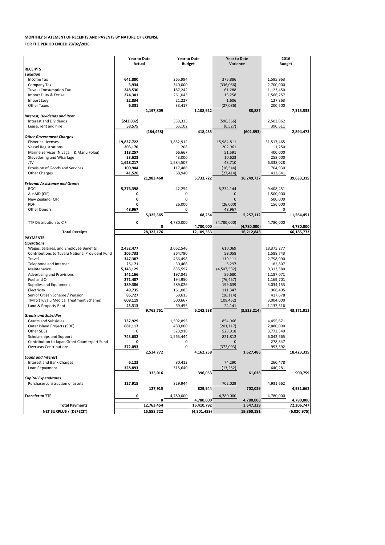| <b>Budget</b><br>Variance<br><b>RECEIPTS</b><br><b>Taxation</b><br>Income Tax<br>641,880<br>265,994<br>375,886<br>1,595,963<br>Company Tax<br>3,934<br>340,000<br>(336,066)<br>2,700,000<br><b>Tuvalu Consumption Tax</b><br>248,530<br>187,242<br>61,288<br>1,123,450<br>Import Duty & Excise<br>274,301<br>261,043<br>13,258<br>1,566,257<br>Import Levy<br>22,834<br>21,227<br>1,606<br>127,363<br><b>Other Taxes</b><br>6,331<br>33,417<br>200,500<br>(27,086)<br>1,197,809<br>1,108,922<br>88,887<br>7,313,533<br><b>Interest, Dividends and Rent</b><br><b>Interest and Dividends</b><br>(243, 032)<br>353,333<br>(596, 366)<br>2,503,862<br>Lease, rent and hire<br>58,575<br>(6, 527)<br>65,102<br>390,611<br>2,894,473<br>(184, 458)<br>418,435<br>(602, 893)<br><b>Other Government Charges</b><br><b>Fisheries Licenses</b><br>19,837,722<br>3,852,912<br>15,984,811<br>31,517,465<br>208<br><b>Vessel Registrations</b><br>203,170<br>202,961<br>1,250<br>Marine Services (Nivaga II & Manu Folau)<br>66,667<br>400,000<br>118,257<br>51,591<br>Stevedoring and Wharfage<br>10,623<br>53,623<br>43,000<br>258,000<br>.TV<br>43,710<br>1,628,217<br>1,584,507<br>6,338,028<br>Provision of Goods and Services<br>100,944<br>117,488<br>(16, 544)<br>704,930<br>41,526<br>68,940<br>413,641<br><b>Other Charges</b><br>(27, 414)<br>39,633,315<br>21,983,460<br>5,733,722<br>16,249,737<br><b>External Assistance and Grants</b><br><b>ROC</b><br>5,276,398<br>42,254<br>5,234,144<br>9,408,451<br>AusAID (CIF)<br>1,500,000<br>0<br>0<br>0<br>New Zealand (CIF)<br>$\Omega$<br>500,000<br>$\Omega$<br>Ω<br><b>PDF</b><br>$\mathbf{0}$<br>26,000<br>(26,000)<br>156,000<br><b>Other Donors</b><br>0<br>48,967<br>48,967<br>0<br>68,254<br>11,564,451<br>5,325,365<br>5,257,112<br>TTF Distribution to CIF<br>4,780,000<br>0<br>4,780,000<br>(4,780,000)<br>4,780,000<br>(4,780,000)<br>4,780,000<br>0<br>28,322,176<br><b>Total Receipts</b><br>12,109,333<br>16,212,843<br>66,185,772<br><b>PAYMENTS</b><br><b>Operations</b><br>Wages, Salaries, and Employee Benefits<br>3,062,546<br>610,069<br>18,375,277<br>2,452,477<br><b>Contributions to Tuvalu National Provident Fund</b><br>205,733<br>59,058<br>264,790<br>1,588,743<br>347,387<br>466,498<br>119,111<br>2,798,990<br>Travel<br>Telephone and Internet<br>25,171<br>182,807<br>30,468<br>5,297<br>Maintenance<br>5,143,129<br>635,597<br>9,313,580<br>(4,507,532)<br><b>Advertising and Provisions</b><br>56,680<br>141,166<br>197,845<br>1,187,071<br>Fuel and Oil<br>271,407<br>194,950<br>1,169,701<br>(76, 457)<br>Supplies and Equipment<br>389,386<br>589,026<br>199,639<br>3,034,153<br>Electricity<br>49,735<br>161,083<br>111,347<br>966,495<br>Senior Citizen Scheme / Pension<br>85,727<br>69,613<br>(16, 114)<br>417,678<br><b>TMTS (Tuvalu Medical Treatment Scheme)</b><br>609,119<br>500,667<br>3,004,000<br>(108, 452)<br>Land & Property Rent<br>24,141<br>45,313<br>69,455<br>1,132,516<br>9,765,751<br>6,242,538<br>(3,523,214)<br>43,171,011<br><b>Grants and Subsidies</b><br><b>Grants and Subsidies</b><br>737,929<br>1,592,895<br>4,455,671<br>854,966<br>Outer Island Projects (SDE)<br>681,117<br>480,000<br>2,880,000<br>(201, 117)<br>Other SDEs<br>523,918<br>3,772,540<br>0<br>523,918<br>Scholarships and Support<br>743,632<br>1,565,444<br>821,812<br>6,042,665<br>Contribution to Japan Grant Counterpart Fund<br>$\Omega$<br>278,847<br>0<br>0<br><b>Overseas Contributions</b><br>$\mathbf 0$<br>372,093<br>(372,093)<br>993,592<br>2,534,772<br>4,162,258<br>18,423,315<br>1,627,486<br>Loans and Interest<br><b>Interest and Bank Charges</b><br>80,413<br>6,123<br>74,290<br>260,478<br>315,640<br>328,893<br>Loan Repayment<br>(13, 252)<br>640,281<br>335,016<br>396,053<br>900,759<br>61,038<br><b>Capital Expenditures</b><br>Purchase/construction of assets<br>127,915<br>829,944<br>702,029<br>4,931,662<br>127,915<br>829,944<br>702,029<br>4,931,662<br><b>Transfer to TTF</b><br>0<br>4,780,000<br>4,780,000<br>4,780,000<br>4,780,000<br>4,780,000<br>0<br>4,780,000<br><b>Total Payments</b><br>12,763,454<br>72,206,747<br>16,410,792<br>3,647,339<br><b>NET SURPLUS / (DEFECIT)</b><br>15,558,722<br>(4,301,459)<br>19,860,181<br>(6,020,975) | <b>Year to Date</b> |  | <b>Year to Date</b> |  | <b>Year to Date</b> |  | 2016          |  |
|----------------------------------------------------------------------------------------------------------------------------------------------------------------------------------------------------------------------------------------------------------------------------------------------------------------------------------------------------------------------------------------------------------------------------------------------------------------------------------------------------------------------------------------------------------------------------------------------------------------------------------------------------------------------------------------------------------------------------------------------------------------------------------------------------------------------------------------------------------------------------------------------------------------------------------------------------------------------------------------------------------------------------------------------------------------------------------------------------------------------------------------------------------------------------------------------------------------------------------------------------------------------------------------------------------------------------------------------------------------------------------------------------------------------------------------------------------------------------------------------------------------------------------------------------------------------------------------------------------------------------------------------------------------------------------------------------------------------------------------------------------------------------------------------------------------------------------------------------------------------------------------------------------------------------------------------------------------------------------------------------------------------------------------------------------------------------------------------------------------------------------------------------------------------------------------------------------------------------------------------------------------------------------------------------------------------------------------------------------------------------------------------------------------------------------------------------------------------------------------------------------------------------------------------------------------------------------------------------------------------------------------------------------------------------------------------------------------------------------------------------------------------------------------------------------------------------------------------------------------------------------------------------------------------------------------------------------------------------------------------------------------------------------------------------------------------------------------------------------------------------------------------------------------------------------------------------------------------------------------------------------------------------------------------------------------------------------------------------------------------------------------------------------------------------------------------------------------------------------------------------------------------------------------------------------------------------------------------------------------------------------------------------------------------------------------------------------------------------------------------------------------------------------------------------------------------------------------------------------------------------------------------------------------------------------------------------------------------------------------------------------------------------------------------------------------------------------------------------------------------------------------------------------------------------------------------------------------------------------------------------------------------------|---------------------|--|---------------------|--|---------------------|--|---------------|--|
|                                                                                                                                                                                                                                                                                                                                                                                                                                                                                                                                                                                                                                                                                                                                                                                                                                                                                                                                                                                                                                                                                                                                                                                                                                                                                                                                                                                                                                                                                                                                                                                                                                                                                                                                                                                                                                                                                                                                                                                                                                                                                                                                                                                                                                                                                                                                                                                                                                                                                                                                                                                                                                                                                                                                                                                                                                                                                                                                                                                                                                                                                                                                                                                                                                                                                                                                                                                                                                                                                                                                                                                                                                                                                                                                                                                                                                                                                                                                                                                                                                                                                                                                                                                                                                                                            | <b>Actual</b>       |  |                     |  |                     |  | <b>Budget</b> |  |
|                                                                                                                                                                                                                                                                                                                                                                                                                                                                                                                                                                                                                                                                                                                                                                                                                                                                                                                                                                                                                                                                                                                                                                                                                                                                                                                                                                                                                                                                                                                                                                                                                                                                                                                                                                                                                                                                                                                                                                                                                                                                                                                                                                                                                                                                                                                                                                                                                                                                                                                                                                                                                                                                                                                                                                                                                                                                                                                                                                                                                                                                                                                                                                                                                                                                                                                                                                                                                                                                                                                                                                                                                                                                                                                                                                                                                                                                                                                                                                                                                                                                                                                                                                                                                                                                            |                     |  |                     |  |                     |  |               |  |
|                                                                                                                                                                                                                                                                                                                                                                                                                                                                                                                                                                                                                                                                                                                                                                                                                                                                                                                                                                                                                                                                                                                                                                                                                                                                                                                                                                                                                                                                                                                                                                                                                                                                                                                                                                                                                                                                                                                                                                                                                                                                                                                                                                                                                                                                                                                                                                                                                                                                                                                                                                                                                                                                                                                                                                                                                                                                                                                                                                                                                                                                                                                                                                                                                                                                                                                                                                                                                                                                                                                                                                                                                                                                                                                                                                                                                                                                                                                                                                                                                                                                                                                                                                                                                                                                            |                     |  |                     |  |                     |  |               |  |
|                                                                                                                                                                                                                                                                                                                                                                                                                                                                                                                                                                                                                                                                                                                                                                                                                                                                                                                                                                                                                                                                                                                                                                                                                                                                                                                                                                                                                                                                                                                                                                                                                                                                                                                                                                                                                                                                                                                                                                                                                                                                                                                                                                                                                                                                                                                                                                                                                                                                                                                                                                                                                                                                                                                                                                                                                                                                                                                                                                                                                                                                                                                                                                                                                                                                                                                                                                                                                                                                                                                                                                                                                                                                                                                                                                                                                                                                                                                                                                                                                                                                                                                                                                                                                                                                            |                     |  |                     |  |                     |  |               |  |
|                                                                                                                                                                                                                                                                                                                                                                                                                                                                                                                                                                                                                                                                                                                                                                                                                                                                                                                                                                                                                                                                                                                                                                                                                                                                                                                                                                                                                                                                                                                                                                                                                                                                                                                                                                                                                                                                                                                                                                                                                                                                                                                                                                                                                                                                                                                                                                                                                                                                                                                                                                                                                                                                                                                                                                                                                                                                                                                                                                                                                                                                                                                                                                                                                                                                                                                                                                                                                                                                                                                                                                                                                                                                                                                                                                                                                                                                                                                                                                                                                                                                                                                                                                                                                                                                            |                     |  |                     |  |                     |  |               |  |
|                                                                                                                                                                                                                                                                                                                                                                                                                                                                                                                                                                                                                                                                                                                                                                                                                                                                                                                                                                                                                                                                                                                                                                                                                                                                                                                                                                                                                                                                                                                                                                                                                                                                                                                                                                                                                                                                                                                                                                                                                                                                                                                                                                                                                                                                                                                                                                                                                                                                                                                                                                                                                                                                                                                                                                                                                                                                                                                                                                                                                                                                                                                                                                                                                                                                                                                                                                                                                                                                                                                                                                                                                                                                                                                                                                                                                                                                                                                                                                                                                                                                                                                                                                                                                                                                            |                     |  |                     |  |                     |  |               |  |
|                                                                                                                                                                                                                                                                                                                                                                                                                                                                                                                                                                                                                                                                                                                                                                                                                                                                                                                                                                                                                                                                                                                                                                                                                                                                                                                                                                                                                                                                                                                                                                                                                                                                                                                                                                                                                                                                                                                                                                                                                                                                                                                                                                                                                                                                                                                                                                                                                                                                                                                                                                                                                                                                                                                                                                                                                                                                                                                                                                                                                                                                                                                                                                                                                                                                                                                                                                                                                                                                                                                                                                                                                                                                                                                                                                                                                                                                                                                                                                                                                                                                                                                                                                                                                                                                            |                     |  |                     |  |                     |  |               |  |
|                                                                                                                                                                                                                                                                                                                                                                                                                                                                                                                                                                                                                                                                                                                                                                                                                                                                                                                                                                                                                                                                                                                                                                                                                                                                                                                                                                                                                                                                                                                                                                                                                                                                                                                                                                                                                                                                                                                                                                                                                                                                                                                                                                                                                                                                                                                                                                                                                                                                                                                                                                                                                                                                                                                                                                                                                                                                                                                                                                                                                                                                                                                                                                                                                                                                                                                                                                                                                                                                                                                                                                                                                                                                                                                                                                                                                                                                                                                                                                                                                                                                                                                                                                                                                                                                            |                     |  |                     |  |                     |  |               |  |
|                                                                                                                                                                                                                                                                                                                                                                                                                                                                                                                                                                                                                                                                                                                                                                                                                                                                                                                                                                                                                                                                                                                                                                                                                                                                                                                                                                                                                                                                                                                                                                                                                                                                                                                                                                                                                                                                                                                                                                                                                                                                                                                                                                                                                                                                                                                                                                                                                                                                                                                                                                                                                                                                                                                                                                                                                                                                                                                                                                                                                                                                                                                                                                                                                                                                                                                                                                                                                                                                                                                                                                                                                                                                                                                                                                                                                                                                                                                                                                                                                                                                                                                                                                                                                                                                            |                     |  |                     |  |                     |  |               |  |
|                                                                                                                                                                                                                                                                                                                                                                                                                                                                                                                                                                                                                                                                                                                                                                                                                                                                                                                                                                                                                                                                                                                                                                                                                                                                                                                                                                                                                                                                                                                                                                                                                                                                                                                                                                                                                                                                                                                                                                                                                                                                                                                                                                                                                                                                                                                                                                                                                                                                                                                                                                                                                                                                                                                                                                                                                                                                                                                                                                                                                                                                                                                                                                                                                                                                                                                                                                                                                                                                                                                                                                                                                                                                                                                                                                                                                                                                                                                                                                                                                                                                                                                                                                                                                                                                            |                     |  |                     |  |                     |  |               |  |
|                                                                                                                                                                                                                                                                                                                                                                                                                                                                                                                                                                                                                                                                                                                                                                                                                                                                                                                                                                                                                                                                                                                                                                                                                                                                                                                                                                                                                                                                                                                                                                                                                                                                                                                                                                                                                                                                                                                                                                                                                                                                                                                                                                                                                                                                                                                                                                                                                                                                                                                                                                                                                                                                                                                                                                                                                                                                                                                                                                                                                                                                                                                                                                                                                                                                                                                                                                                                                                                                                                                                                                                                                                                                                                                                                                                                                                                                                                                                                                                                                                                                                                                                                                                                                                                                            |                     |  |                     |  |                     |  |               |  |
|                                                                                                                                                                                                                                                                                                                                                                                                                                                                                                                                                                                                                                                                                                                                                                                                                                                                                                                                                                                                                                                                                                                                                                                                                                                                                                                                                                                                                                                                                                                                                                                                                                                                                                                                                                                                                                                                                                                                                                                                                                                                                                                                                                                                                                                                                                                                                                                                                                                                                                                                                                                                                                                                                                                                                                                                                                                                                                                                                                                                                                                                                                                                                                                                                                                                                                                                                                                                                                                                                                                                                                                                                                                                                                                                                                                                                                                                                                                                                                                                                                                                                                                                                                                                                                                                            |                     |  |                     |  |                     |  |               |  |
|                                                                                                                                                                                                                                                                                                                                                                                                                                                                                                                                                                                                                                                                                                                                                                                                                                                                                                                                                                                                                                                                                                                                                                                                                                                                                                                                                                                                                                                                                                                                                                                                                                                                                                                                                                                                                                                                                                                                                                                                                                                                                                                                                                                                                                                                                                                                                                                                                                                                                                                                                                                                                                                                                                                                                                                                                                                                                                                                                                                                                                                                                                                                                                                                                                                                                                                                                                                                                                                                                                                                                                                                                                                                                                                                                                                                                                                                                                                                                                                                                                                                                                                                                                                                                                                                            |                     |  |                     |  |                     |  |               |  |
|                                                                                                                                                                                                                                                                                                                                                                                                                                                                                                                                                                                                                                                                                                                                                                                                                                                                                                                                                                                                                                                                                                                                                                                                                                                                                                                                                                                                                                                                                                                                                                                                                                                                                                                                                                                                                                                                                                                                                                                                                                                                                                                                                                                                                                                                                                                                                                                                                                                                                                                                                                                                                                                                                                                                                                                                                                                                                                                                                                                                                                                                                                                                                                                                                                                                                                                                                                                                                                                                                                                                                                                                                                                                                                                                                                                                                                                                                                                                                                                                                                                                                                                                                                                                                                                                            |                     |  |                     |  |                     |  |               |  |
|                                                                                                                                                                                                                                                                                                                                                                                                                                                                                                                                                                                                                                                                                                                                                                                                                                                                                                                                                                                                                                                                                                                                                                                                                                                                                                                                                                                                                                                                                                                                                                                                                                                                                                                                                                                                                                                                                                                                                                                                                                                                                                                                                                                                                                                                                                                                                                                                                                                                                                                                                                                                                                                                                                                                                                                                                                                                                                                                                                                                                                                                                                                                                                                                                                                                                                                                                                                                                                                                                                                                                                                                                                                                                                                                                                                                                                                                                                                                                                                                                                                                                                                                                                                                                                                                            |                     |  |                     |  |                     |  |               |  |
|                                                                                                                                                                                                                                                                                                                                                                                                                                                                                                                                                                                                                                                                                                                                                                                                                                                                                                                                                                                                                                                                                                                                                                                                                                                                                                                                                                                                                                                                                                                                                                                                                                                                                                                                                                                                                                                                                                                                                                                                                                                                                                                                                                                                                                                                                                                                                                                                                                                                                                                                                                                                                                                                                                                                                                                                                                                                                                                                                                                                                                                                                                                                                                                                                                                                                                                                                                                                                                                                                                                                                                                                                                                                                                                                                                                                                                                                                                                                                                                                                                                                                                                                                                                                                                                                            |                     |  |                     |  |                     |  |               |  |
|                                                                                                                                                                                                                                                                                                                                                                                                                                                                                                                                                                                                                                                                                                                                                                                                                                                                                                                                                                                                                                                                                                                                                                                                                                                                                                                                                                                                                                                                                                                                                                                                                                                                                                                                                                                                                                                                                                                                                                                                                                                                                                                                                                                                                                                                                                                                                                                                                                                                                                                                                                                                                                                                                                                                                                                                                                                                                                                                                                                                                                                                                                                                                                                                                                                                                                                                                                                                                                                                                                                                                                                                                                                                                                                                                                                                                                                                                                                                                                                                                                                                                                                                                                                                                                                                            |                     |  |                     |  |                     |  |               |  |
|                                                                                                                                                                                                                                                                                                                                                                                                                                                                                                                                                                                                                                                                                                                                                                                                                                                                                                                                                                                                                                                                                                                                                                                                                                                                                                                                                                                                                                                                                                                                                                                                                                                                                                                                                                                                                                                                                                                                                                                                                                                                                                                                                                                                                                                                                                                                                                                                                                                                                                                                                                                                                                                                                                                                                                                                                                                                                                                                                                                                                                                                                                                                                                                                                                                                                                                                                                                                                                                                                                                                                                                                                                                                                                                                                                                                                                                                                                                                                                                                                                                                                                                                                                                                                                                                            |                     |  |                     |  |                     |  |               |  |
|                                                                                                                                                                                                                                                                                                                                                                                                                                                                                                                                                                                                                                                                                                                                                                                                                                                                                                                                                                                                                                                                                                                                                                                                                                                                                                                                                                                                                                                                                                                                                                                                                                                                                                                                                                                                                                                                                                                                                                                                                                                                                                                                                                                                                                                                                                                                                                                                                                                                                                                                                                                                                                                                                                                                                                                                                                                                                                                                                                                                                                                                                                                                                                                                                                                                                                                                                                                                                                                                                                                                                                                                                                                                                                                                                                                                                                                                                                                                                                                                                                                                                                                                                                                                                                                                            |                     |  |                     |  |                     |  |               |  |
|                                                                                                                                                                                                                                                                                                                                                                                                                                                                                                                                                                                                                                                                                                                                                                                                                                                                                                                                                                                                                                                                                                                                                                                                                                                                                                                                                                                                                                                                                                                                                                                                                                                                                                                                                                                                                                                                                                                                                                                                                                                                                                                                                                                                                                                                                                                                                                                                                                                                                                                                                                                                                                                                                                                                                                                                                                                                                                                                                                                                                                                                                                                                                                                                                                                                                                                                                                                                                                                                                                                                                                                                                                                                                                                                                                                                                                                                                                                                                                                                                                                                                                                                                                                                                                                                            |                     |  |                     |  |                     |  |               |  |
|                                                                                                                                                                                                                                                                                                                                                                                                                                                                                                                                                                                                                                                                                                                                                                                                                                                                                                                                                                                                                                                                                                                                                                                                                                                                                                                                                                                                                                                                                                                                                                                                                                                                                                                                                                                                                                                                                                                                                                                                                                                                                                                                                                                                                                                                                                                                                                                                                                                                                                                                                                                                                                                                                                                                                                                                                                                                                                                                                                                                                                                                                                                                                                                                                                                                                                                                                                                                                                                                                                                                                                                                                                                                                                                                                                                                                                                                                                                                                                                                                                                                                                                                                                                                                                                                            |                     |  |                     |  |                     |  |               |  |
|                                                                                                                                                                                                                                                                                                                                                                                                                                                                                                                                                                                                                                                                                                                                                                                                                                                                                                                                                                                                                                                                                                                                                                                                                                                                                                                                                                                                                                                                                                                                                                                                                                                                                                                                                                                                                                                                                                                                                                                                                                                                                                                                                                                                                                                                                                                                                                                                                                                                                                                                                                                                                                                                                                                                                                                                                                                                                                                                                                                                                                                                                                                                                                                                                                                                                                                                                                                                                                                                                                                                                                                                                                                                                                                                                                                                                                                                                                                                                                                                                                                                                                                                                                                                                                                                            |                     |  |                     |  |                     |  |               |  |
|                                                                                                                                                                                                                                                                                                                                                                                                                                                                                                                                                                                                                                                                                                                                                                                                                                                                                                                                                                                                                                                                                                                                                                                                                                                                                                                                                                                                                                                                                                                                                                                                                                                                                                                                                                                                                                                                                                                                                                                                                                                                                                                                                                                                                                                                                                                                                                                                                                                                                                                                                                                                                                                                                                                                                                                                                                                                                                                                                                                                                                                                                                                                                                                                                                                                                                                                                                                                                                                                                                                                                                                                                                                                                                                                                                                                                                                                                                                                                                                                                                                                                                                                                                                                                                                                            |                     |  |                     |  |                     |  |               |  |
|                                                                                                                                                                                                                                                                                                                                                                                                                                                                                                                                                                                                                                                                                                                                                                                                                                                                                                                                                                                                                                                                                                                                                                                                                                                                                                                                                                                                                                                                                                                                                                                                                                                                                                                                                                                                                                                                                                                                                                                                                                                                                                                                                                                                                                                                                                                                                                                                                                                                                                                                                                                                                                                                                                                                                                                                                                                                                                                                                                                                                                                                                                                                                                                                                                                                                                                                                                                                                                                                                                                                                                                                                                                                                                                                                                                                                                                                                                                                                                                                                                                                                                                                                                                                                                                                            |                     |  |                     |  |                     |  |               |  |
|                                                                                                                                                                                                                                                                                                                                                                                                                                                                                                                                                                                                                                                                                                                                                                                                                                                                                                                                                                                                                                                                                                                                                                                                                                                                                                                                                                                                                                                                                                                                                                                                                                                                                                                                                                                                                                                                                                                                                                                                                                                                                                                                                                                                                                                                                                                                                                                                                                                                                                                                                                                                                                                                                                                                                                                                                                                                                                                                                                                                                                                                                                                                                                                                                                                                                                                                                                                                                                                                                                                                                                                                                                                                                                                                                                                                                                                                                                                                                                                                                                                                                                                                                                                                                                                                            |                     |  |                     |  |                     |  |               |  |
|                                                                                                                                                                                                                                                                                                                                                                                                                                                                                                                                                                                                                                                                                                                                                                                                                                                                                                                                                                                                                                                                                                                                                                                                                                                                                                                                                                                                                                                                                                                                                                                                                                                                                                                                                                                                                                                                                                                                                                                                                                                                                                                                                                                                                                                                                                                                                                                                                                                                                                                                                                                                                                                                                                                                                                                                                                                                                                                                                                                                                                                                                                                                                                                                                                                                                                                                                                                                                                                                                                                                                                                                                                                                                                                                                                                                                                                                                                                                                                                                                                                                                                                                                                                                                                                                            |                     |  |                     |  |                     |  |               |  |
|                                                                                                                                                                                                                                                                                                                                                                                                                                                                                                                                                                                                                                                                                                                                                                                                                                                                                                                                                                                                                                                                                                                                                                                                                                                                                                                                                                                                                                                                                                                                                                                                                                                                                                                                                                                                                                                                                                                                                                                                                                                                                                                                                                                                                                                                                                                                                                                                                                                                                                                                                                                                                                                                                                                                                                                                                                                                                                                                                                                                                                                                                                                                                                                                                                                                                                                                                                                                                                                                                                                                                                                                                                                                                                                                                                                                                                                                                                                                                                                                                                                                                                                                                                                                                                                                            |                     |  |                     |  |                     |  |               |  |
|                                                                                                                                                                                                                                                                                                                                                                                                                                                                                                                                                                                                                                                                                                                                                                                                                                                                                                                                                                                                                                                                                                                                                                                                                                                                                                                                                                                                                                                                                                                                                                                                                                                                                                                                                                                                                                                                                                                                                                                                                                                                                                                                                                                                                                                                                                                                                                                                                                                                                                                                                                                                                                                                                                                                                                                                                                                                                                                                                                                                                                                                                                                                                                                                                                                                                                                                                                                                                                                                                                                                                                                                                                                                                                                                                                                                                                                                                                                                                                                                                                                                                                                                                                                                                                                                            |                     |  |                     |  |                     |  |               |  |
|                                                                                                                                                                                                                                                                                                                                                                                                                                                                                                                                                                                                                                                                                                                                                                                                                                                                                                                                                                                                                                                                                                                                                                                                                                                                                                                                                                                                                                                                                                                                                                                                                                                                                                                                                                                                                                                                                                                                                                                                                                                                                                                                                                                                                                                                                                                                                                                                                                                                                                                                                                                                                                                                                                                                                                                                                                                                                                                                                                                                                                                                                                                                                                                                                                                                                                                                                                                                                                                                                                                                                                                                                                                                                                                                                                                                                                                                                                                                                                                                                                                                                                                                                                                                                                                                            |                     |  |                     |  |                     |  |               |  |
|                                                                                                                                                                                                                                                                                                                                                                                                                                                                                                                                                                                                                                                                                                                                                                                                                                                                                                                                                                                                                                                                                                                                                                                                                                                                                                                                                                                                                                                                                                                                                                                                                                                                                                                                                                                                                                                                                                                                                                                                                                                                                                                                                                                                                                                                                                                                                                                                                                                                                                                                                                                                                                                                                                                                                                                                                                                                                                                                                                                                                                                                                                                                                                                                                                                                                                                                                                                                                                                                                                                                                                                                                                                                                                                                                                                                                                                                                                                                                                                                                                                                                                                                                                                                                                                                            |                     |  |                     |  |                     |  |               |  |
|                                                                                                                                                                                                                                                                                                                                                                                                                                                                                                                                                                                                                                                                                                                                                                                                                                                                                                                                                                                                                                                                                                                                                                                                                                                                                                                                                                                                                                                                                                                                                                                                                                                                                                                                                                                                                                                                                                                                                                                                                                                                                                                                                                                                                                                                                                                                                                                                                                                                                                                                                                                                                                                                                                                                                                                                                                                                                                                                                                                                                                                                                                                                                                                                                                                                                                                                                                                                                                                                                                                                                                                                                                                                                                                                                                                                                                                                                                                                                                                                                                                                                                                                                                                                                                                                            |                     |  |                     |  |                     |  |               |  |
|                                                                                                                                                                                                                                                                                                                                                                                                                                                                                                                                                                                                                                                                                                                                                                                                                                                                                                                                                                                                                                                                                                                                                                                                                                                                                                                                                                                                                                                                                                                                                                                                                                                                                                                                                                                                                                                                                                                                                                                                                                                                                                                                                                                                                                                                                                                                                                                                                                                                                                                                                                                                                                                                                                                                                                                                                                                                                                                                                                                                                                                                                                                                                                                                                                                                                                                                                                                                                                                                                                                                                                                                                                                                                                                                                                                                                                                                                                                                                                                                                                                                                                                                                                                                                                                                            |                     |  |                     |  |                     |  |               |  |
|                                                                                                                                                                                                                                                                                                                                                                                                                                                                                                                                                                                                                                                                                                                                                                                                                                                                                                                                                                                                                                                                                                                                                                                                                                                                                                                                                                                                                                                                                                                                                                                                                                                                                                                                                                                                                                                                                                                                                                                                                                                                                                                                                                                                                                                                                                                                                                                                                                                                                                                                                                                                                                                                                                                                                                                                                                                                                                                                                                                                                                                                                                                                                                                                                                                                                                                                                                                                                                                                                                                                                                                                                                                                                                                                                                                                                                                                                                                                                                                                                                                                                                                                                                                                                                                                            |                     |  |                     |  |                     |  |               |  |
|                                                                                                                                                                                                                                                                                                                                                                                                                                                                                                                                                                                                                                                                                                                                                                                                                                                                                                                                                                                                                                                                                                                                                                                                                                                                                                                                                                                                                                                                                                                                                                                                                                                                                                                                                                                                                                                                                                                                                                                                                                                                                                                                                                                                                                                                                                                                                                                                                                                                                                                                                                                                                                                                                                                                                                                                                                                                                                                                                                                                                                                                                                                                                                                                                                                                                                                                                                                                                                                                                                                                                                                                                                                                                                                                                                                                                                                                                                                                                                                                                                                                                                                                                                                                                                                                            |                     |  |                     |  |                     |  |               |  |
|                                                                                                                                                                                                                                                                                                                                                                                                                                                                                                                                                                                                                                                                                                                                                                                                                                                                                                                                                                                                                                                                                                                                                                                                                                                                                                                                                                                                                                                                                                                                                                                                                                                                                                                                                                                                                                                                                                                                                                                                                                                                                                                                                                                                                                                                                                                                                                                                                                                                                                                                                                                                                                                                                                                                                                                                                                                                                                                                                                                                                                                                                                                                                                                                                                                                                                                                                                                                                                                                                                                                                                                                                                                                                                                                                                                                                                                                                                                                                                                                                                                                                                                                                                                                                                                                            |                     |  |                     |  |                     |  |               |  |
|                                                                                                                                                                                                                                                                                                                                                                                                                                                                                                                                                                                                                                                                                                                                                                                                                                                                                                                                                                                                                                                                                                                                                                                                                                                                                                                                                                                                                                                                                                                                                                                                                                                                                                                                                                                                                                                                                                                                                                                                                                                                                                                                                                                                                                                                                                                                                                                                                                                                                                                                                                                                                                                                                                                                                                                                                                                                                                                                                                                                                                                                                                                                                                                                                                                                                                                                                                                                                                                                                                                                                                                                                                                                                                                                                                                                                                                                                                                                                                                                                                                                                                                                                                                                                                                                            |                     |  |                     |  |                     |  |               |  |
|                                                                                                                                                                                                                                                                                                                                                                                                                                                                                                                                                                                                                                                                                                                                                                                                                                                                                                                                                                                                                                                                                                                                                                                                                                                                                                                                                                                                                                                                                                                                                                                                                                                                                                                                                                                                                                                                                                                                                                                                                                                                                                                                                                                                                                                                                                                                                                                                                                                                                                                                                                                                                                                                                                                                                                                                                                                                                                                                                                                                                                                                                                                                                                                                                                                                                                                                                                                                                                                                                                                                                                                                                                                                                                                                                                                                                                                                                                                                                                                                                                                                                                                                                                                                                                                                            |                     |  |                     |  |                     |  |               |  |
|                                                                                                                                                                                                                                                                                                                                                                                                                                                                                                                                                                                                                                                                                                                                                                                                                                                                                                                                                                                                                                                                                                                                                                                                                                                                                                                                                                                                                                                                                                                                                                                                                                                                                                                                                                                                                                                                                                                                                                                                                                                                                                                                                                                                                                                                                                                                                                                                                                                                                                                                                                                                                                                                                                                                                                                                                                                                                                                                                                                                                                                                                                                                                                                                                                                                                                                                                                                                                                                                                                                                                                                                                                                                                                                                                                                                                                                                                                                                                                                                                                                                                                                                                                                                                                                                            |                     |  |                     |  |                     |  |               |  |
|                                                                                                                                                                                                                                                                                                                                                                                                                                                                                                                                                                                                                                                                                                                                                                                                                                                                                                                                                                                                                                                                                                                                                                                                                                                                                                                                                                                                                                                                                                                                                                                                                                                                                                                                                                                                                                                                                                                                                                                                                                                                                                                                                                                                                                                                                                                                                                                                                                                                                                                                                                                                                                                                                                                                                                                                                                                                                                                                                                                                                                                                                                                                                                                                                                                                                                                                                                                                                                                                                                                                                                                                                                                                                                                                                                                                                                                                                                                                                                                                                                                                                                                                                                                                                                                                            |                     |  |                     |  |                     |  |               |  |
|                                                                                                                                                                                                                                                                                                                                                                                                                                                                                                                                                                                                                                                                                                                                                                                                                                                                                                                                                                                                                                                                                                                                                                                                                                                                                                                                                                                                                                                                                                                                                                                                                                                                                                                                                                                                                                                                                                                                                                                                                                                                                                                                                                                                                                                                                                                                                                                                                                                                                                                                                                                                                                                                                                                                                                                                                                                                                                                                                                                                                                                                                                                                                                                                                                                                                                                                                                                                                                                                                                                                                                                                                                                                                                                                                                                                                                                                                                                                                                                                                                                                                                                                                                                                                                                                            |                     |  |                     |  |                     |  |               |  |
|                                                                                                                                                                                                                                                                                                                                                                                                                                                                                                                                                                                                                                                                                                                                                                                                                                                                                                                                                                                                                                                                                                                                                                                                                                                                                                                                                                                                                                                                                                                                                                                                                                                                                                                                                                                                                                                                                                                                                                                                                                                                                                                                                                                                                                                                                                                                                                                                                                                                                                                                                                                                                                                                                                                                                                                                                                                                                                                                                                                                                                                                                                                                                                                                                                                                                                                                                                                                                                                                                                                                                                                                                                                                                                                                                                                                                                                                                                                                                                                                                                                                                                                                                                                                                                                                            |                     |  |                     |  |                     |  |               |  |
|                                                                                                                                                                                                                                                                                                                                                                                                                                                                                                                                                                                                                                                                                                                                                                                                                                                                                                                                                                                                                                                                                                                                                                                                                                                                                                                                                                                                                                                                                                                                                                                                                                                                                                                                                                                                                                                                                                                                                                                                                                                                                                                                                                                                                                                                                                                                                                                                                                                                                                                                                                                                                                                                                                                                                                                                                                                                                                                                                                                                                                                                                                                                                                                                                                                                                                                                                                                                                                                                                                                                                                                                                                                                                                                                                                                                                                                                                                                                                                                                                                                                                                                                                                                                                                                                            |                     |  |                     |  |                     |  |               |  |
|                                                                                                                                                                                                                                                                                                                                                                                                                                                                                                                                                                                                                                                                                                                                                                                                                                                                                                                                                                                                                                                                                                                                                                                                                                                                                                                                                                                                                                                                                                                                                                                                                                                                                                                                                                                                                                                                                                                                                                                                                                                                                                                                                                                                                                                                                                                                                                                                                                                                                                                                                                                                                                                                                                                                                                                                                                                                                                                                                                                                                                                                                                                                                                                                                                                                                                                                                                                                                                                                                                                                                                                                                                                                                                                                                                                                                                                                                                                                                                                                                                                                                                                                                                                                                                                                            |                     |  |                     |  |                     |  |               |  |
|                                                                                                                                                                                                                                                                                                                                                                                                                                                                                                                                                                                                                                                                                                                                                                                                                                                                                                                                                                                                                                                                                                                                                                                                                                                                                                                                                                                                                                                                                                                                                                                                                                                                                                                                                                                                                                                                                                                                                                                                                                                                                                                                                                                                                                                                                                                                                                                                                                                                                                                                                                                                                                                                                                                                                                                                                                                                                                                                                                                                                                                                                                                                                                                                                                                                                                                                                                                                                                                                                                                                                                                                                                                                                                                                                                                                                                                                                                                                                                                                                                                                                                                                                                                                                                                                            |                     |  |                     |  |                     |  |               |  |
|                                                                                                                                                                                                                                                                                                                                                                                                                                                                                                                                                                                                                                                                                                                                                                                                                                                                                                                                                                                                                                                                                                                                                                                                                                                                                                                                                                                                                                                                                                                                                                                                                                                                                                                                                                                                                                                                                                                                                                                                                                                                                                                                                                                                                                                                                                                                                                                                                                                                                                                                                                                                                                                                                                                                                                                                                                                                                                                                                                                                                                                                                                                                                                                                                                                                                                                                                                                                                                                                                                                                                                                                                                                                                                                                                                                                                                                                                                                                                                                                                                                                                                                                                                                                                                                                            |                     |  |                     |  |                     |  |               |  |
|                                                                                                                                                                                                                                                                                                                                                                                                                                                                                                                                                                                                                                                                                                                                                                                                                                                                                                                                                                                                                                                                                                                                                                                                                                                                                                                                                                                                                                                                                                                                                                                                                                                                                                                                                                                                                                                                                                                                                                                                                                                                                                                                                                                                                                                                                                                                                                                                                                                                                                                                                                                                                                                                                                                                                                                                                                                                                                                                                                                                                                                                                                                                                                                                                                                                                                                                                                                                                                                                                                                                                                                                                                                                                                                                                                                                                                                                                                                                                                                                                                                                                                                                                                                                                                                                            |                     |  |                     |  |                     |  |               |  |
|                                                                                                                                                                                                                                                                                                                                                                                                                                                                                                                                                                                                                                                                                                                                                                                                                                                                                                                                                                                                                                                                                                                                                                                                                                                                                                                                                                                                                                                                                                                                                                                                                                                                                                                                                                                                                                                                                                                                                                                                                                                                                                                                                                                                                                                                                                                                                                                                                                                                                                                                                                                                                                                                                                                                                                                                                                                                                                                                                                                                                                                                                                                                                                                                                                                                                                                                                                                                                                                                                                                                                                                                                                                                                                                                                                                                                                                                                                                                                                                                                                                                                                                                                                                                                                                                            |                     |  |                     |  |                     |  |               |  |
|                                                                                                                                                                                                                                                                                                                                                                                                                                                                                                                                                                                                                                                                                                                                                                                                                                                                                                                                                                                                                                                                                                                                                                                                                                                                                                                                                                                                                                                                                                                                                                                                                                                                                                                                                                                                                                                                                                                                                                                                                                                                                                                                                                                                                                                                                                                                                                                                                                                                                                                                                                                                                                                                                                                                                                                                                                                                                                                                                                                                                                                                                                                                                                                                                                                                                                                                                                                                                                                                                                                                                                                                                                                                                                                                                                                                                                                                                                                                                                                                                                                                                                                                                                                                                                                                            |                     |  |                     |  |                     |  |               |  |
|                                                                                                                                                                                                                                                                                                                                                                                                                                                                                                                                                                                                                                                                                                                                                                                                                                                                                                                                                                                                                                                                                                                                                                                                                                                                                                                                                                                                                                                                                                                                                                                                                                                                                                                                                                                                                                                                                                                                                                                                                                                                                                                                                                                                                                                                                                                                                                                                                                                                                                                                                                                                                                                                                                                                                                                                                                                                                                                                                                                                                                                                                                                                                                                                                                                                                                                                                                                                                                                                                                                                                                                                                                                                                                                                                                                                                                                                                                                                                                                                                                                                                                                                                                                                                                                                            |                     |  |                     |  |                     |  |               |  |
|                                                                                                                                                                                                                                                                                                                                                                                                                                                                                                                                                                                                                                                                                                                                                                                                                                                                                                                                                                                                                                                                                                                                                                                                                                                                                                                                                                                                                                                                                                                                                                                                                                                                                                                                                                                                                                                                                                                                                                                                                                                                                                                                                                                                                                                                                                                                                                                                                                                                                                                                                                                                                                                                                                                                                                                                                                                                                                                                                                                                                                                                                                                                                                                                                                                                                                                                                                                                                                                                                                                                                                                                                                                                                                                                                                                                                                                                                                                                                                                                                                                                                                                                                                                                                                                                            |                     |  |                     |  |                     |  |               |  |
|                                                                                                                                                                                                                                                                                                                                                                                                                                                                                                                                                                                                                                                                                                                                                                                                                                                                                                                                                                                                                                                                                                                                                                                                                                                                                                                                                                                                                                                                                                                                                                                                                                                                                                                                                                                                                                                                                                                                                                                                                                                                                                                                                                                                                                                                                                                                                                                                                                                                                                                                                                                                                                                                                                                                                                                                                                                                                                                                                                                                                                                                                                                                                                                                                                                                                                                                                                                                                                                                                                                                                                                                                                                                                                                                                                                                                                                                                                                                                                                                                                                                                                                                                                                                                                                                            |                     |  |                     |  |                     |  |               |  |
|                                                                                                                                                                                                                                                                                                                                                                                                                                                                                                                                                                                                                                                                                                                                                                                                                                                                                                                                                                                                                                                                                                                                                                                                                                                                                                                                                                                                                                                                                                                                                                                                                                                                                                                                                                                                                                                                                                                                                                                                                                                                                                                                                                                                                                                                                                                                                                                                                                                                                                                                                                                                                                                                                                                                                                                                                                                                                                                                                                                                                                                                                                                                                                                                                                                                                                                                                                                                                                                                                                                                                                                                                                                                                                                                                                                                                                                                                                                                                                                                                                                                                                                                                                                                                                                                            |                     |  |                     |  |                     |  |               |  |
|                                                                                                                                                                                                                                                                                                                                                                                                                                                                                                                                                                                                                                                                                                                                                                                                                                                                                                                                                                                                                                                                                                                                                                                                                                                                                                                                                                                                                                                                                                                                                                                                                                                                                                                                                                                                                                                                                                                                                                                                                                                                                                                                                                                                                                                                                                                                                                                                                                                                                                                                                                                                                                                                                                                                                                                                                                                                                                                                                                                                                                                                                                                                                                                                                                                                                                                                                                                                                                                                                                                                                                                                                                                                                                                                                                                                                                                                                                                                                                                                                                                                                                                                                                                                                                                                            |                     |  |                     |  |                     |  |               |  |
|                                                                                                                                                                                                                                                                                                                                                                                                                                                                                                                                                                                                                                                                                                                                                                                                                                                                                                                                                                                                                                                                                                                                                                                                                                                                                                                                                                                                                                                                                                                                                                                                                                                                                                                                                                                                                                                                                                                                                                                                                                                                                                                                                                                                                                                                                                                                                                                                                                                                                                                                                                                                                                                                                                                                                                                                                                                                                                                                                                                                                                                                                                                                                                                                                                                                                                                                                                                                                                                                                                                                                                                                                                                                                                                                                                                                                                                                                                                                                                                                                                                                                                                                                                                                                                                                            |                     |  |                     |  |                     |  |               |  |
|                                                                                                                                                                                                                                                                                                                                                                                                                                                                                                                                                                                                                                                                                                                                                                                                                                                                                                                                                                                                                                                                                                                                                                                                                                                                                                                                                                                                                                                                                                                                                                                                                                                                                                                                                                                                                                                                                                                                                                                                                                                                                                                                                                                                                                                                                                                                                                                                                                                                                                                                                                                                                                                                                                                                                                                                                                                                                                                                                                                                                                                                                                                                                                                                                                                                                                                                                                                                                                                                                                                                                                                                                                                                                                                                                                                                                                                                                                                                                                                                                                                                                                                                                                                                                                                                            |                     |  |                     |  |                     |  |               |  |
|                                                                                                                                                                                                                                                                                                                                                                                                                                                                                                                                                                                                                                                                                                                                                                                                                                                                                                                                                                                                                                                                                                                                                                                                                                                                                                                                                                                                                                                                                                                                                                                                                                                                                                                                                                                                                                                                                                                                                                                                                                                                                                                                                                                                                                                                                                                                                                                                                                                                                                                                                                                                                                                                                                                                                                                                                                                                                                                                                                                                                                                                                                                                                                                                                                                                                                                                                                                                                                                                                                                                                                                                                                                                                                                                                                                                                                                                                                                                                                                                                                                                                                                                                                                                                                                                            |                     |  |                     |  |                     |  |               |  |
|                                                                                                                                                                                                                                                                                                                                                                                                                                                                                                                                                                                                                                                                                                                                                                                                                                                                                                                                                                                                                                                                                                                                                                                                                                                                                                                                                                                                                                                                                                                                                                                                                                                                                                                                                                                                                                                                                                                                                                                                                                                                                                                                                                                                                                                                                                                                                                                                                                                                                                                                                                                                                                                                                                                                                                                                                                                                                                                                                                                                                                                                                                                                                                                                                                                                                                                                                                                                                                                                                                                                                                                                                                                                                                                                                                                                                                                                                                                                                                                                                                                                                                                                                                                                                                                                            |                     |  |                     |  |                     |  |               |  |
|                                                                                                                                                                                                                                                                                                                                                                                                                                                                                                                                                                                                                                                                                                                                                                                                                                                                                                                                                                                                                                                                                                                                                                                                                                                                                                                                                                                                                                                                                                                                                                                                                                                                                                                                                                                                                                                                                                                                                                                                                                                                                                                                                                                                                                                                                                                                                                                                                                                                                                                                                                                                                                                                                                                                                                                                                                                                                                                                                                                                                                                                                                                                                                                                                                                                                                                                                                                                                                                                                                                                                                                                                                                                                                                                                                                                                                                                                                                                                                                                                                                                                                                                                                                                                                                                            |                     |  |                     |  |                     |  |               |  |
|                                                                                                                                                                                                                                                                                                                                                                                                                                                                                                                                                                                                                                                                                                                                                                                                                                                                                                                                                                                                                                                                                                                                                                                                                                                                                                                                                                                                                                                                                                                                                                                                                                                                                                                                                                                                                                                                                                                                                                                                                                                                                                                                                                                                                                                                                                                                                                                                                                                                                                                                                                                                                                                                                                                                                                                                                                                                                                                                                                                                                                                                                                                                                                                                                                                                                                                                                                                                                                                                                                                                                                                                                                                                                                                                                                                                                                                                                                                                                                                                                                                                                                                                                                                                                                                                            |                     |  |                     |  |                     |  |               |  |
|                                                                                                                                                                                                                                                                                                                                                                                                                                                                                                                                                                                                                                                                                                                                                                                                                                                                                                                                                                                                                                                                                                                                                                                                                                                                                                                                                                                                                                                                                                                                                                                                                                                                                                                                                                                                                                                                                                                                                                                                                                                                                                                                                                                                                                                                                                                                                                                                                                                                                                                                                                                                                                                                                                                                                                                                                                                                                                                                                                                                                                                                                                                                                                                                                                                                                                                                                                                                                                                                                                                                                                                                                                                                                                                                                                                                                                                                                                                                                                                                                                                                                                                                                                                                                                                                            |                     |  |                     |  |                     |  |               |  |
|                                                                                                                                                                                                                                                                                                                                                                                                                                                                                                                                                                                                                                                                                                                                                                                                                                                                                                                                                                                                                                                                                                                                                                                                                                                                                                                                                                                                                                                                                                                                                                                                                                                                                                                                                                                                                                                                                                                                                                                                                                                                                                                                                                                                                                                                                                                                                                                                                                                                                                                                                                                                                                                                                                                                                                                                                                                                                                                                                                                                                                                                                                                                                                                                                                                                                                                                                                                                                                                                                                                                                                                                                                                                                                                                                                                                                                                                                                                                                                                                                                                                                                                                                                                                                                                                            |                     |  |                     |  |                     |  |               |  |
|                                                                                                                                                                                                                                                                                                                                                                                                                                                                                                                                                                                                                                                                                                                                                                                                                                                                                                                                                                                                                                                                                                                                                                                                                                                                                                                                                                                                                                                                                                                                                                                                                                                                                                                                                                                                                                                                                                                                                                                                                                                                                                                                                                                                                                                                                                                                                                                                                                                                                                                                                                                                                                                                                                                                                                                                                                                                                                                                                                                                                                                                                                                                                                                                                                                                                                                                                                                                                                                                                                                                                                                                                                                                                                                                                                                                                                                                                                                                                                                                                                                                                                                                                                                                                                                                            |                     |  |                     |  |                     |  |               |  |
|                                                                                                                                                                                                                                                                                                                                                                                                                                                                                                                                                                                                                                                                                                                                                                                                                                                                                                                                                                                                                                                                                                                                                                                                                                                                                                                                                                                                                                                                                                                                                                                                                                                                                                                                                                                                                                                                                                                                                                                                                                                                                                                                                                                                                                                                                                                                                                                                                                                                                                                                                                                                                                                                                                                                                                                                                                                                                                                                                                                                                                                                                                                                                                                                                                                                                                                                                                                                                                                                                                                                                                                                                                                                                                                                                                                                                                                                                                                                                                                                                                                                                                                                                                                                                                                                            |                     |  |                     |  |                     |  |               |  |
|                                                                                                                                                                                                                                                                                                                                                                                                                                                                                                                                                                                                                                                                                                                                                                                                                                                                                                                                                                                                                                                                                                                                                                                                                                                                                                                                                                                                                                                                                                                                                                                                                                                                                                                                                                                                                                                                                                                                                                                                                                                                                                                                                                                                                                                                                                                                                                                                                                                                                                                                                                                                                                                                                                                                                                                                                                                                                                                                                                                                                                                                                                                                                                                                                                                                                                                                                                                                                                                                                                                                                                                                                                                                                                                                                                                                                                                                                                                                                                                                                                                                                                                                                                                                                                                                            |                     |  |                     |  |                     |  |               |  |
|                                                                                                                                                                                                                                                                                                                                                                                                                                                                                                                                                                                                                                                                                                                                                                                                                                                                                                                                                                                                                                                                                                                                                                                                                                                                                                                                                                                                                                                                                                                                                                                                                                                                                                                                                                                                                                                                                                                                                                                                                                                                                                                                                                                                                                                                                                                                                                                                                                                                                                                                                                                                                                                                                                                                                                                                                                                                                                                                                                                                                                                                                                                                                                                                                                                                                                                                                                                                                                                                                                                                                                                                                                                                                                                                                                                                                                                                                                                                                                                                                                                                                                                                                                                                                                                                            |                     |  |                     |  |                     |  |               |  |

## **MONTHLY STATEMENT OF RECEIPTS AND PAYENTS BY NATURE OF EXPENSE**

**FOR THE PERIOD ENDED 29/02/2016**